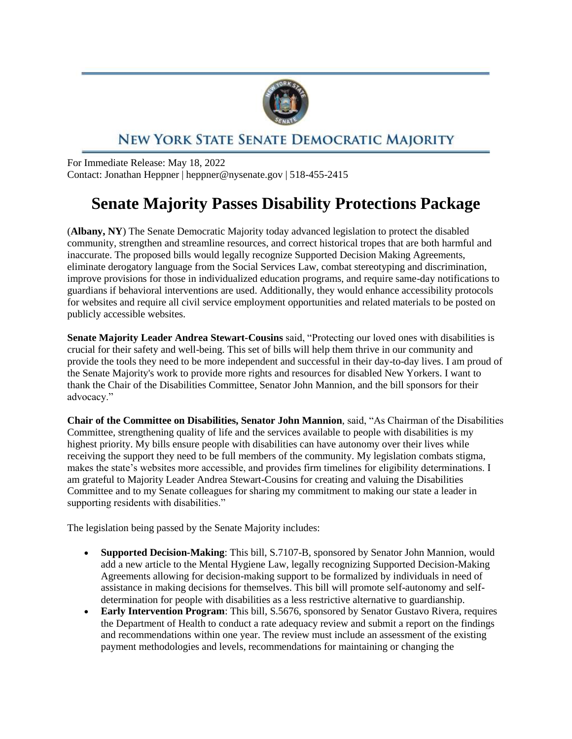

## NEW YORK STATE SENATE DEMOCRATIC MAJORITY

For Immediate Release: May 18, 2022 Contact: Jonathan Heppner | heppner@nysenate.gov | 518-455-2415

## **Senate Majority Passes Disability Protections Package**

(**Albany, NY**) The Senate Democratic Majority today advanced legislation to protect the disabled community, strengthen and streamline resources, and correct historical tropes that are both harmful and inaccurate. The proposed bills would legally recognize Supported Decision Making Agreements, eliminate derogatory language from the Social Services Law, combat stereotyping and discrimination, improve provisions for those in individualized education programs, and require same-day notifications to guardians if behavioral interventions are used. Additionally, they would enhance accessibility protocols for websites and require all civil service employment opportunities and related materials to be posted on publicly accessible websites.

**Senate Majority Leader Andrea Stewart-Cousins** said, "Protecting our loved ones with disabilities is crucial for their safety and well-being. This set of bills will help them thrive in our community and provide the tools they need to be more independent and successful in their day-to-day lives. I am proud of the Senate Majority's work to provide more rights and resources for disabled New Yorkers. I want to thank the Chair of the Disabilities Committee, Senator John Mannion, and the bill sponsors for their advocacy."

**Chair of the Committee on Disabilities, Senator John Mannion**, said, "As Chairman of the Disabilities Committee, strengthening quality of life and the services available to people with disabilities is my highest priority. My bills ensure people with disabilities can have autonomy over their lives while receiving the support they need to be full members of the community. My legislation combats stigma, makes the state's websites more accessible, and provides firm timelines for eligibility determinations. I am grateful to Majority Leader Andrea Stewart-Cousins for creating and valuing the Disabilities Committee and to my Senate colleagues for sharing my commitment to making our state a leader in supporting residents with disabilities."

The legislation being passed by the Senate Majority includes:

- **Supported Decision-Making**: This bill, S.7107-B, sponsored by Senator John Mannion, would add a new article to the Mental Hygiene Law, legally recognizing Supported Decision-Making Agreements allowing for decision-making support to be formalized by individuals in need of assistance in making decisions for themselves. This bill will promote self-autonomy and selfdetermination for people with disabilities as a less restrictive alternative to guardianship.
- **Early Intervention Program**: This bill, S.5676, sponsored by Senator Gustavo Rivera, requires the Department of Health to conduct a rate adequacy review and submit a report on the findings and recommendations within one year. The review must include an assessment of the existing payment methodologies and levels, recommendations for maintaining or changing the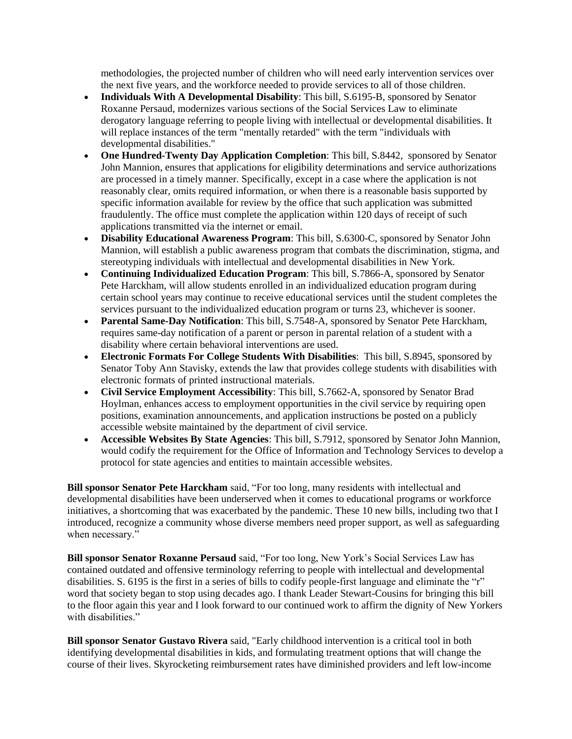methodologies, the projected number of children who will need early intervention services over the next five years, and the workforce needed to provide services to all of those children.

- **Individuals With A Developmental Disability**: This bill, S.6195-B, sponsored by Senator Roxanne Persaud, modernizes various sections of the Social Services Law to eliminate derogatory language referring to people living with intellectual or developmental disabilities. It will replace instances of the term "mentally retarded" with the term "individuals with developmental disabilities."
- **One Hundred-Twenty Day Application Completion**: This bill, S.8442, sponsored by Senator John Mannion, ensures that applications for eligibility determinations and service authorizations are processed in a timely manner. Specifically, except in a case where the application is not reasonably clear, omits required information, or when there is a reasonable basis supported by specific information available for review by the office that such application was submitted fraudulently. The office must complete the application within 120 days of receipt of such applications transmitted via the internet or email.
- **Disability Educational Awareness Program**: This bill, S.6300-C, sponsored by Senator John Mannion, will establish a public awareness program that combats the discrimination, stigma, and stereotyping individuals with intellectual and developmental disabilities in New York.
- **Continuing Individualized Education Program**: This bill, S.7866-A, sponsored by Senator Pete Harckham, will allow students enrolled in an individualized education program during certain school years may continue to receive educational services until the student completes the services pursuant to the individualized education program or turns 23, whichever is sooner.
- **Parental Same-Day Notification**: This bill, S.7548-A, sponsored by Senator Pete Harckham, requires same-day notification of a parent or person in parental relation of a student with a disability where certain behavioral interventions are used.
- **Electronic Formats For College Students With Disabilities**: This bill, S.8945, sponsored by Senator Toby Ann Stavisky, extends the law that provides college students with disabilities with electronic formats of printed instructional materials.
- **Civil Service Employment Accessibility**: This bill, S.7662-A, sponsored by Senator Brad Hoylman, enhances access to employment opportunities in the civil service by requiring open positions, examination announcements, and application instructions be posted on a publicly accessible website maintained by the department of civil service.
- **Accessible Websites By State Agencies**: This bill, S.7912, sponsored by Senator John Mannion, would codify the requirement for the Office of Information and Technology Services to develop a protocol for state agencies and entities to maintain accessible websites.

**Bill sponsor Senator Pete Harckham** said, "For too long, many residents with intellectual and developmental disabilities have been underserved when it comes to educational programs or workforce initiatives, a shortcoming that was exacerbated by the pandemic. These 10 new bills, including two that I introduced, recognize a community whose diverse members need proper support, as well as safeguarding when necessary."

**Bill sponsor Senator Roxanne Persaud** said, "For too long, New York's Social Services Law has contained outdated and offensive terminology referring to people with intellectual and developmental disabilities. S. 6195 is the first in a series of bills to codify people-first language and eliminate the "r" word that society began to stop using decades ago. I thank Leader Stewart-Cousins for bringing this bill to the floor again this year and I look forward to our continued work to affirm the dignity of New Yorkers with disabilities."

**Bill sponsor Senator Gustavo Rivera** said, "Early childhood intervention is a critical tool in both identifying developmental disabilities in kids, and formulating treatment options that will change the course of their lives. Skyrocketing reimbursement rates have diminished providers and left low-income